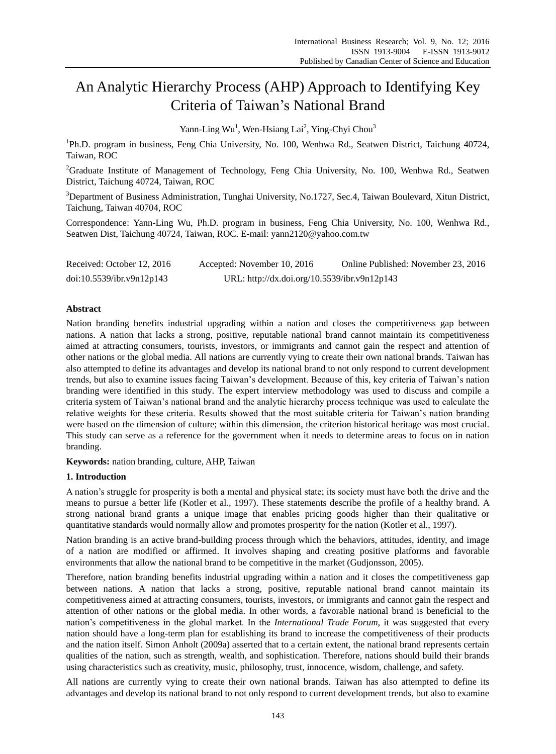# An Analytic Hierarchy Process (AHP) Approach to Identifying Key Criteria of Taiwan's National Brand

Yann-Ling Wu<sup>1</sup>, Wen-Hsiang Lai<sup>2</sup>, Ying-Chyi Chou<sup>3</sup>

<sup>1</sup>Ph.D. program in business, Feng Chia University, No. 100, Wenhwa Rd., Seatwen District, Taichung 40724, Taiwan, ROC

<sup>2</sup>Graduate Institute of Management of Technology, Feng Chia University, No. 100, Wenhwa Rd., Seatwen District, Taichung 40724, Taiwan, ROC

<sup>3</sup>Department of Business Administration, Tunghai University, No.1727, Sec.4, Taiwan Boulevard, Xitun District, Taichung, Taiwan 40704, ROC

Correspondence: Yann-Ling Wu, Ph.D. program in business, Feng Chia University, No. 100, Wenhwa Rd., Seatwen Dist, Taichung 40724, Taiwan, ROC. E-mail: yann2120@yahoo.com.tw

| Received: October 12, 2016 | Accepted: November 10, 2016                  | Online Published: November 23, 2016 |
|----------------------------|----------------------------------------------|-------------------------------------|
| doi:10.5539/ibr.v9n12p143  | URL: http://dx.doi.org/10.5539/ibr.v9n12p143 |                                     |

## **Abstract**

Nation branding benefits industrial upgrading within a nation and closes the competitiveness gap between nations. A nation that lacks a strong, positive, reputable national brand cannot maintain its competitiveness aimed at attracting consumers, tourists, investors, or immigrants and cannot gain the respect and attention of other nations or the global media. All nations are currently vying to create their own national brands. Taiwan has also attempted to define its advantages and develop its national brand to not only respond to current development trends, but also to examine issues facing Taiwan's development. Because of this, key criteria of Taiwan's nation branding were identified in this study. The expert interview methodology was used to discuss and compile a criteria system of Taiwan's national brand and the analytic hierarchy process technique was used to calculate the relative weights for these criteria. Results showed that the most suitable criteria for Taiwan's nation branding were based on the dimension of culture; within this dimension, the criterion historical heritage was most crucial. This study can serve as a reference for the government when it needs to determine areas to focus on in nation branding.

**Keywords:** nation branding, culture, AHP, Taiwan

## **1. Introduction**

A nation's struggle for prosperity is both a mental and physical state; its society must have both the drive and the means to pursue a better life (Kotler et al., 1997). These statements describe the profile of a healthy brand. A strong national brand grants a unique image that enables pricing goods higher than their qualitative or quantitative standards would normally allow and promotes prosperity for the nation (Kotler et al., 1997).

Nation branding is an active brand-building process through which the behaviors, attitudes, identity, and image of a nation are modified or affirmed. It involves shaping and creating positive platforms and favorable environments that allow the national brand to be competitive in the market (Gudjonsson, 2005).

Therefore, nation branding benefits industrial upgrading within a nation and it closes the competitiveness gap between nations. A nation that lacks a strong, positive, reputable national brand cannot maintain its competitiveness aimed at attracting consumers, tourists, investors, or immigrants and cannot gain the respect and attention of other nations or the global media. In other words, a favorable national brand is beneficial to the nation's competitiveness in the global market. In the *International Trade Forum*, it was suggested that every nation should have a long-term plan for establishing its brand to increase the competitiveness of their products and the nation itself. Simon Anholt (2009a) asserted that to a certain extent, the national brand represents certain qualities of the nation, such as strength, wealth, and sophistication. Therefore, nations should build their brands using characteristics such as creativity, music, philosophy, trust, innocence, wisdom, challenge, and safety.

All nations are currently vying to create their own national brands. Taiwan has also attempted to define its advantages and develop its national brand to not only respond to current development trends, but also to examine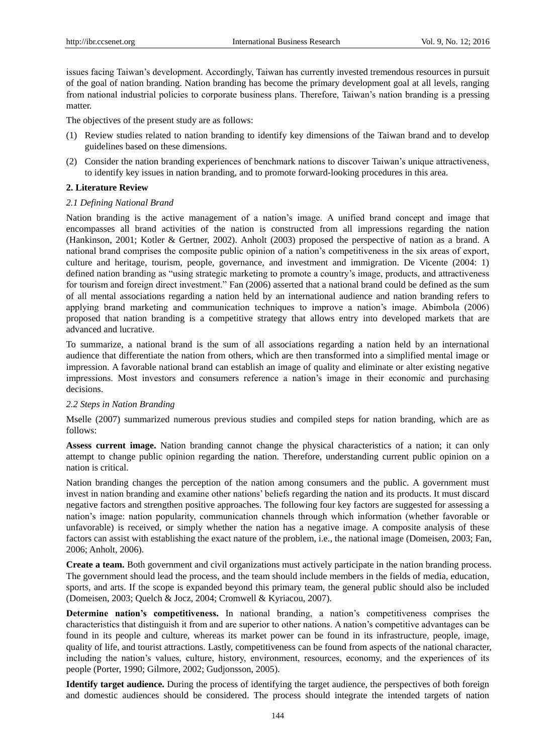issues facing Taiwan's development. Accordingly, Taiwan has currently invested tremendous resources in pursuit of the goal of nation branding. Nation branding has become the primary development goal at all levels, ranging from national industrial policies to corporate business plans. Therefore, Taiwan's nation branding is a pressing matter.

The objectives of the present study are as follows:

- (1) Review studies related to nation branding to identify key dimensions of the Taiwan brand and to develop guidelines based on these dimensions.
- (2) Consider the nation branding experiences of benchmark nations to discover Taiwan's unique attractiveness, to identify key issues in nation branding, and to promote forward-looking procedures in this area.

#### **2. Literature Review**

#### *2.1 Defining National Brand*

Nation branding is the active management of a nation's image. A unified brand concept and image that encompasses all brand activities of the nation is constructed from all impressions regarding the nation (Hankinson, 2001; Kotler & Gertner, 2002). Anholt (2003) proposed the perspective of nation as a brand. A national brand comprises the composite public opinion of a nation's competitiveness in the six areas of export, culture and heritage, tourism, people, governance, and investment and immigration. De Vicente (2004: 1) defined nation branding as "using strategic marketing to promote a country's image, products, and attractiveness for tourism and foreign direct investment." Fan (2006) asserted that a national brand could be defined as the sum of all mental associations regarding a nation held by an international audience and nation branding refers to applying brand marketing and communication techniques to improve a nation's image. Abimbola (2006) proposed that nation branding is a competitive strategy that allows entry into developed markets that are advanced and lucrative.

To summarize, a national brand is the sum of all associations regarding a nation held by an international audience that differentiate the nation from others, which are then transformed into a simplified mental image or impression. A favorable national brand can establish an image of quality and eliminate or alter existing negative impressions. Most investors and consumers reference a nation's image in their economic and purchasing decisions.

#### *2.2 Steps in Nation Branding*

Mselle (2007) summarized numerous previous studies and compiled steps for nation branding, which are as follows:

**Assess current image.** Nation branding cannot change the physical characteristics of a nation; it can only attempt to change public opinion regarding the nation. Therefore, understanding current public opinion on a nation is critical.

Nation branding changes the perception of the nation among consumers and the public. A government must invest in nation branding and examine other nations' beliefs regarding the nation and its products. It must discard negative factors and strengthen positive approaches. The following four key factors are suggested for assessing a nation's image: nation popularity, communication channels through which information (whether favorable or unfavorable) is received, or simply whether the nation has a negative image. A composite analysis of these factors can assist with establishing the exact nature of the problem, i.e., the national image (Domeisen, 2003; Fan, 2006; Anholt, 2006).

**Create a team.** Both government and civil organizations must actively participate in the nation branding process. The government should lead the process, and the team should include members in the fields of media, education, sports, and arts. If the scope is expanded beyond this primary team, the general public should also be included (Domeisen, 2003; Quelch & Jocz, 2004; Cromwell & Kyriacou, 2007).

**Determine nation's competitiveness.** In national branding, a nation's competitiveness comprises the characteristics that distinguish it from and are superior to other nations. A nation's competitive advantages can be found in its people and culture, whereas its market power can be found in its infrastructure, people, image, quality of life, and tourist attractions. Lastly, competitiveness can be found from aspects of the national character, including the nation's values, culture, history, environment, resources, economy, and the experiences of its people (Porter, 1990; Gilmore, 2002; Gudjonsson, 2005).

**Identify target audience.** During the process of identifying the target audience, the perspectives of both foreign and domestic audiences should be considered. The process should integrate the intended targets of nation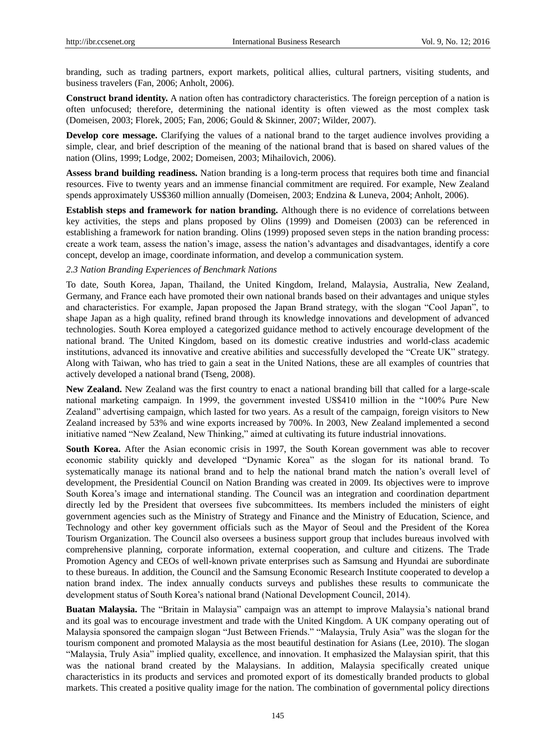branding, such as trading partners, export markets, political allies, cultural partners, visiting students, and business travelers (Fan, 2006; Anholt, 2006).

**Construct brand identity.** A nation often has contradictory characteristics. The foreign perception of a nation is often unfocused; therefore, determining the national identity is often viewed as the most complex task (Domeisen, 2003; Florek, 2005; Fan, 2006; Gould & Skinner, 2007; Wilder, 2007).

**Develop core message.** Clarifying the values of a national brand to the target audience involves providing a simple, clear, and brief description of the meaning of the national brand that is based on shared values of the nation (Olins, 1999; Lodge, 2002; Domeisen, 2003; Mihailovich, 2006).

**Assess brand building readiness.** Nation branding is a long-term process that requires both time and financial resources. Five to twenty years and an immense financial commitment are required. For example, New Zealand spends approximately US\$360 million annually (Domeisen, 2003; Endzina & Luneva, 2004; Anholt, 2006).

**Establish steps and framework for nation branding.** Although there is no evidence of correlations between key activities, the steps and plans proposed by Olins (1999) and Domeisen (2003) can be referenced in establishing a framework for nation branding. Olins (1999) proposed seven steps in the nation branding process: create a work team, assess the nation's image, assess the nation's advantages and disadvantages, identify a core concept, develop an image, coordinate information, and develop a communication system.

## *2.3 Nation Branding Experiences of Benchmark Nations*

To date, South Korea, Japan, Thailand, the United Kingdom, Ireland, Malaysia, Australia, New Zealand, Germany, and France each have promoted their own national brands based on their advantages and unique styles and characteristics. For example, Japan proposed the Japan Brand strategy, with the slogan "Cool Japan", to shape Japan as a high quality, refined brand through its knowledge innovations and development of advanced technologies. South Korea employed a categorized guidance method to actively encourage development of the national brand. The United Kingdom, based on its domestic creative industries and world-class academic institutions, advanced its innovative and creative abilities and successfully developed the "Create UK" strategy. Along with Taiwan, who has tried to gain a seat in the United Nations, these are all examples of countries that actively developed a national brand (Tseng, 2008).

**New Zealand.** New Zealand was the first country to enact a national branding bill that called for a large-scale national marketing campaign. In 1999, the government invested US\$410 million in the "100% Pure New Zealand" advertising campaign, which lasted for two years. As a result of the campaign, foreign visitors to New Zealand increased by 53% and wine exports increased by 700%. In 2003, New Zealand implemented a second initiative named "New Zealand, New Thinking," aimed at cultivating its future industrial innovations.

**South Korea.** After the Asian economic crisis in 1997, the South Korean government was able to recover economic stability quickly and developed "Dynamic Korea" as the slogan for its national brand. To systematically manage its national brand and to help the national brand match the nation's overall level of development, the Presidential Council on Nation Branding was created in 2009. Its objectives were to improve South Korea's image and international standing. The Council was an integration and coordination department directly led by the President that oversees five subcommittees. Its members included the ministers of eight government agencies such as the Ministry of Strategy and Finance and the Ministry of Education, Science, and Technology and other key government officials such as the Mayor of Seoul and the President of the Korea Tourism Organization. The Council also oversees a business support group that includes bureaus involved with comprehensive planning, corporate information, external cooperation, and culture and citizens. The Trade Promotion Agency and CEOs of well-known private enterprises such as Samsung and Hyundai are subordinate to these bureaus. In addition, the Council and the Samsung Economic Research Institute cooperated to develop a nation brand index. The index annually conducts surveys and publishes these results to communicate the development status of South Korea's national brand (National Development Council, 2014).

**Buatan Malaysia.** The "Britain in Malaysia" campaign was an attempt to improve Malaysia's national brand and its goal was to encourage investment and trade with the United Kingdom. A UK company operating out of Malaysia sponsored the campaign slogan "Just Between Friends." "Malaysia, Truly Asia" was the slogan for the tourism component and promoted Malaysia as the most beautiful destination for Asians (Lee, 2010). The slogan "Malaysia, Truly Asia" implied quality, excellence, and innovation. It emphasized the Malaysian spirit, that this was the national brand created by the Malaysians. In addition, Malaysia specifically created unique characteristics in its products and services and promoted export of its domestically branded products to global markets. This created a positive quality image for the nation. The combination of governmental policy directions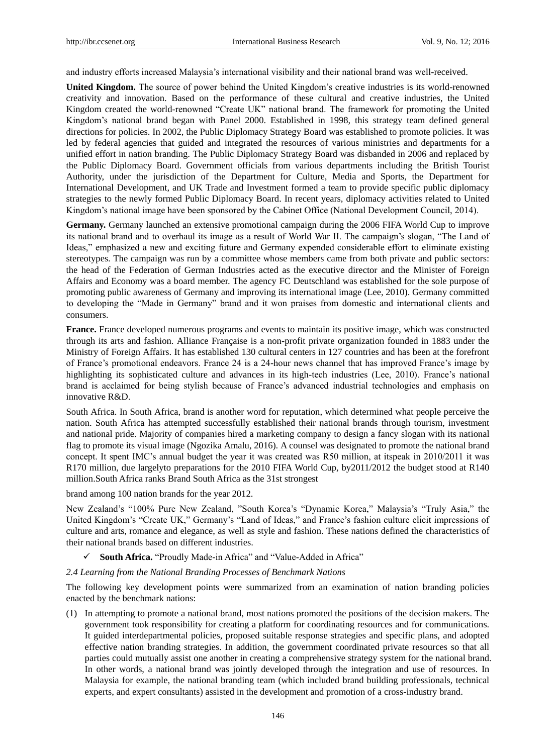and industry efforts increased Malaysia's international visibility and their national brand was well-received.

**United Kingdom.** The source of power behind the United Kingdom's creative industries is its world-renowned creativity and innovation. Based on the performance of these cultural and creative industries, the United Kingdom created the world-renowned "Create UK" national brand. The framework for promoting the United Kingdom's national brand began with Panel 2000. Established in 1998, this strategy team defined general directions for policies. In 2002, the Public Diplomacy Strategy Board was established to promote policies. It was led by federal agencies that guided and integrated the resources of various ministries and departments for a unified effort in nation branding. The Public Diplomacy Strategy Board was disbanded in 2006 and replaced by the Public Diplomacy Board. Government officials from various departments including the British Tourist Authority, under the jurisdiction of the Department for Culture, Media and Sports, the Department for International Development, and UK Trade and Investment formed a team to provide specific public diplomacy strategies to the newly formed Public Diplomacy Board. In recent years, diplomacy activities related to United Kingdom's national image have been sponsored by the Cabinet Office (National Development Council, 2014).

**Germany.** Germany launched an extensive promotional campaign during the 2006 FIFA World Cup to improve its national brand and to overhaul its image as a result of World War II. The campaign's slogan, "The Land of Ideas," emphasized a new and exciting future and Germany expended considerable effort to eliminate existing stereotypes. The campaign was run by a committee whose members came from both private and public sectors: the head of the Federation of German Industries acted as the executive director and the Minister of Foreign Affairs and Economy was a board member. The agency FC Deutschland was established for the sole purpose of promoting public awareness of Germany and improving its international image (Lee, 2010). Germany committed to developing the "Made in Germany" brand and it won praises from domestic and international clients and consumers.

**France.** France developed numerous programs and events to maintain its positive image, which was constructed through its arts and fashion. Alliance Française is a non-profit private organization founded in 1883 under the Ministry of Foreign Affairs. It has established 130 cultural centers in 127 countries and has been at the forefront of France's promotional endeavors. France 24 is a 24-hour news channel that has improved France's image by highlighting its sophisticated culture and advances in its high-tech industries (Lee, 2010). France's national brand is acclaimed for being stylish because of France's advanced industrial technologies and emphasis on innovative R&D.

South Africa. In South Africa, brand is another word for reputation, which determined what people perceive the nation. South Africa has attempted successfully established their national brands through tourism, investment and national pride. Majority of companies hired a marketing company to design a fancy slogan with its national flag to promote its visual image (Ngozika Amalu, 2016). A counsel was designated to promote the national brand concept. It spent IMC's annual budget the year it was created was R50 million, at itspeak in 2010/2011 it was R170 million, due largelyto preparations for the 2010 FIFA World Cup, by2011/2012 the budget stood at R140 million.South Africa ranks Brand South Africa as the 31st strongest

brand among 100 nation brands for the year 2012.

New Zealand's "100% Pure New Zealand, "South Korea's "Dynamic Korea," Malaysia's "Truly Asia," the United Kingdom's "Create UK," Germany's "Land of Ideas," and France's fashion culture elicit impressions of culture and arts, romance and elegance, as well as style and fashion. These nations defined the characteristics of their national brands based on different industries.

**South Africa.** "Proudly Made-in Africa" and "Value-Added in Africa"

#### *2.4 Learning from the National Branding Processes of Benchmark Nations*

The following key development points were summarized from an examination of nation branding policies enacted by the benchmark nations:

(1) In attempting to promote a national brand, most nations promoted the positions of the decision makers. The government took responsibility for creating a platform for coordinating resources and for communications. It guided interdepartmental policies, proposed suitable response strategies and specific plans, and adopted effective nation branding strategies. In addition, the government coordinated private resources so that all parties could mutually assist one another in creating a comprehensive strategy system for the national brand. In other words, a national brand was jointly developed through the integration and use of resources. In Malaysia for example, the national branding team (which included brand building professionals, technical experts, and expert consultants) assisted in the development and promotion of a cross-industry brand.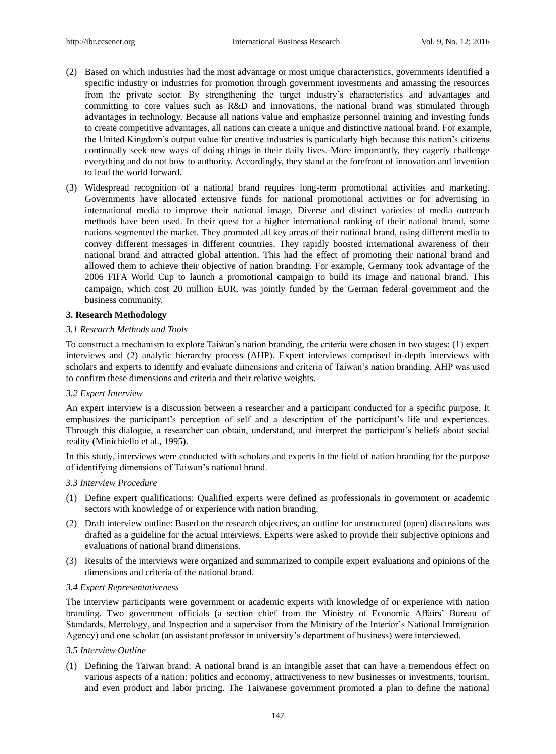- (2) Based on which industries had the most advantage or most unique characteristics, governments identified a specific industry or industries for promotion through government investments and amassing the resources from the private sector. By strengthening the target industry's characteristics and advantages and committing to core values such as R&D and innovations, the national brand was stimulated through advantages in technology. Because all nations value and emphasize personnel training and investing funds to create competitive advantages, all nations can create a unique and distinctive national brand. For example, the United Kingdom's output value for creative industries is particularly high because this nation's citizens continually seek new ways of doing things in their daily lives. More importantly, they eagerly challenge everything and do not bow to authority. Accordingly, they stand at the forefront of innovation and invention to lead the world forward.
- (3) Widespread recognition of a national brand requires long-term promotional activities and marketing. Governments have allocated extensive funds for national promotional activities or for advertising in international media to improve their national image. Diverse and distinct varieties of media outreach methods have been used. In their quest for a higher international ranking of their national brand, some nations segmented the market. They promoted all key areas of their national brand, using different media to convey different messages in different countries. They rapidly boosted international awareness of their national brand and attracted global attention. This had the effect of promoting their national brand and allowed them to achieve their objective of nation branding. For example, Germany took advantage of the 2006 FIFA World Cup to launch a promotional campaign to build its image and national brand. This campaign, which cost 20 million EUR, was jointly funded by the German federal government and the business community.

### **3. Research Methodology**

#### *3.1 Research Methods and Tools*

To construct a mechanism to explore Taiwan's nation branding, the criteria were chosen in two stages: (1) expert interviews and (2) analytic hierarchy process (AHP). Expert interviews comprised in-depth interviews with scholars and experts to identify and evaluate dimensions and criteria of Taiwan's nation branding. AHP was used to confirm these dimensions and criteria and their relative weights.

#### *3.2 Expert Interview*

An expert interview is a discussion between a researcher and a participant conducted for a specific purpose. It emphasizes the participant's perception of self and a description of the participant's life and experiences. Through this dialogue, a researcher can obtain, understand, and interpret the participant's beliefs about social reality (Minichiello et al., 1995).

In this study, interviews were conducted with scholars and experts in the field of nation branding for the purpose of identifying dimensions of Taiwan's national brand.

#### *3.3 Interview Procedure*

- (1) Define expert qualifications: Qualified experts were defined as professionals in government or academic sectors with knowledge of or experience with nation branding.
- (2) Draft interview outline: Based on the research objectives, an outline for unstructured (open) discussions was drafted as a guideline for the actual interviews. Experts were asked to provide their subjective opinions and evaluations of national brand dimensions.
- (3) Results of the interviews were organized and summarized to compile expert evaluations and opinions of the dimensions and criteria of the national brand.

#### *3.4 Expert Representativeness*

The interview participants were government or academic experts with knowledge of or experience with nation branding. Two government officials (a section chief from the Ministry of Economic Affairs' Bureau of Standards, Metrology, and Inspection and a supervisor from the Ministry of the Interior's National Immigration Agency) and one scholar (an assistant professor in university's department of business) were interviewed.

#### *3.5 Interview Outline*

(1) Defining the Taiwan brand: A national brand is an intangible asset that can have a tremendous effect on various aspects of a nation: politics and economy, attractiveness to new businesses or investments, tourism, and even product and labor pricing. The Taiwanese government promoted a plan to define the national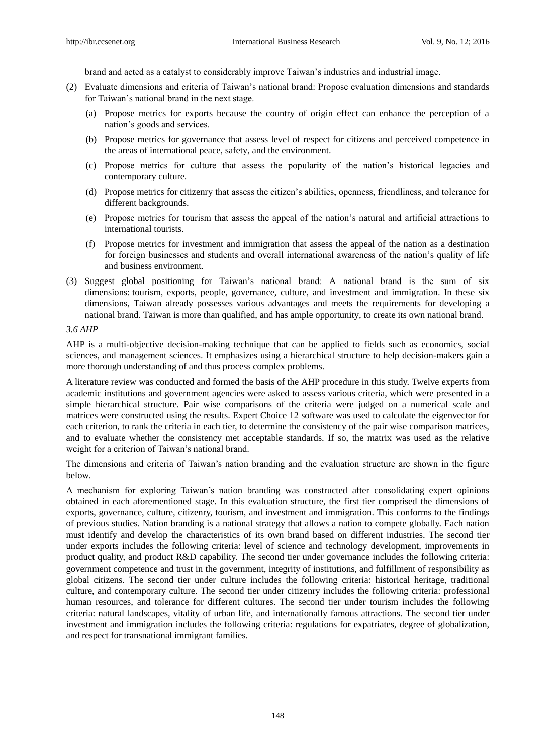brand and acted as a catalyst to considerably improve Taiwan's industries and industrial image.

- (2) Evaluate dimensions and criteria of Taiwan's national brand: Propose evaluation dimensions and standards for Taiwan's national brand in the next stage.
	- (a) Propose metrics for exports because the country of origin effect can enhance the perception of a nation's goods and services.
	- (b) Propose metrics for governance that assess level of respect for citizens and perceived competence in the areas of international peace, safety, and the environment.
	- (c) Propose metrics for culture that assess the popularity of the nation's historical legacies and contemporary culture.
	- (d) Propose metrics for citizenry that assess the citizen's abilities, openness, friendliness, and tolerance for different backgrounds.
	- (e) Propose metrics for tourism that assess the appeal of the nation's natural and artificial attractions to international tourists.
	- (f) Propose metrics for investment and immigration that assess the appeal of the nation as a destination for foreign businesses and students and overall international awareness of the nation's quality of life and business environment.
- (3) Suggest global positioning for Taiwan's national brand: A national brand is the sum of six dimensions: tourism, exports, people, governance, culture, and investment and immigration. In these six dimensions, Taiwan already possesses various advantages and meets the requirements for developing a national brand. Taiwan is more than qualified, and has ample opportunity, to create its own national brand.

#### *3.6 AHP*

AHP is a multi-objective decision-making technique that can be applied to fields such as economics, social sciences, and management sciences. It emphasizes using a hierarchical structure to help decision-makers gain a more thorough understanding of and thus process complex problems.

A literature review was conducted and formed the basis of the AHP procedure in this study. Twelve experts from academic institutions and government agencies were asked to assess various criteria, which were presented in a simple hierarchical structure. Pair wise comparisons of the criteria were judged on a numerical scale and matrices were constructed using the results. Expert Choice 12 software was used to calculate the eigenvector for each criterion, to rank the criteria in each tier, to determine the consistency of the pair wise comparison matrices, and to evaluate whether the consistency met acceptable standards. If so, the matrix was used as the relative weight for a criterion of Taiwan's national brand.

The dimensions and criteria of Taiwan's nation branding and the evaluation structure are shown in the figure below.

A mechanism for exploring Taiwan's nation branding was constructed after consolidating expert opinions obtained in each aforementioned stage. In this evaluation structure, the first tier comprised the dimensions of exports, governance, culture, citizenry, tourism, and investment and immigration. This conforms to the findings of previous studies. Nation branding is a national strategy that allows a nation to compete globally. Each nation must identify and develop the characteristics of its own brand based on different industries. The second tier under exports includes the following criteria: level of science and technology development, improvements in product quality, and product R&D capability. The second tier under governance includes the following criteria: government competence and trust in the government, integrity of institutions, and fulfillment of responsibility as global citizens. The second tier under culture includes the following criteria: historical heritage, traditional culture, and contemporary culture. The second tier under citizenry includes the following criteria: professional human resources, and tolerance for different cultures. The second tier under tourism includes the following criteria: natural landscapes, vitality of urban life, and internationally famous attractions. The second tier under investment and immigration includes the following criteria: regulations for expatriates, degree of globalization, and respect for transnational immigrant families.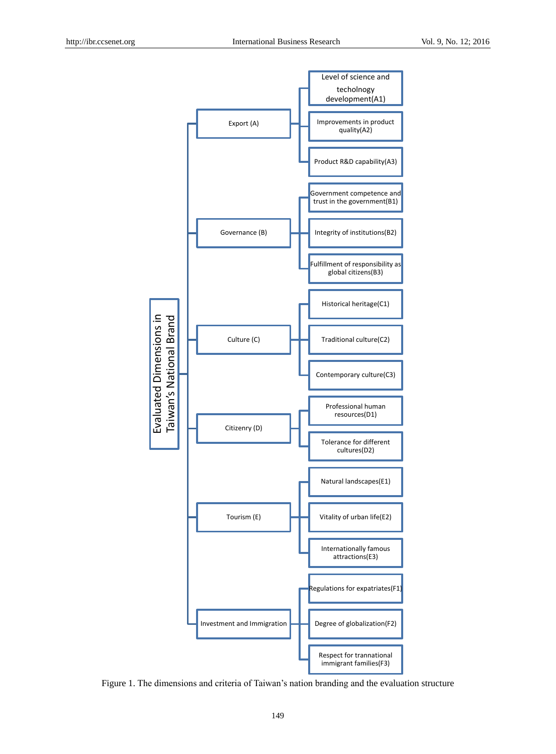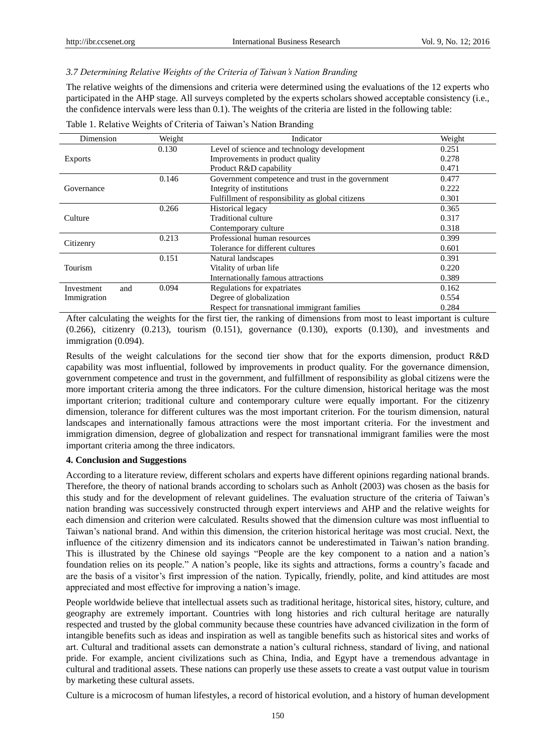## *3.7 Determining Relative Weights of the Criteria of Taiwan's Nation Branding*

The relative weights of the dimensions and criteria were determined using the evaluations of the 12 experts who participated in the AHP stage. All surveys completed by the experts scholars showed acceptable consistency (i.e., the confidence intervals were less than 0.1). The weights of the criteria are listed in the following table:

| Dimension      | Weight       | Indicator                                         | Weight |
|----------------|--------------|---------------------------------------------------|--------|
| <b>Exports</b> | 0.130        | Level of science and technology development       | 0.251  |
|                |              | Improvements in product quality                   | 0.278  |
|                |              | Product R&D capability                            | 0.471  |
|                | 0.146        | Government competence and trust in the government | 0.477  |
| Governance     |              | Integrity of institutions                         | 0.222  |
|                |              | Fulfillment of responsibility as global citizens  | 0.301  |
| Culture        | 0.266        | <b>Historical legacy</b>                          | 0.365  |
|                |              | Traditional culture                               | 0.317  |
|                |              | Contemporary culture                              | 0.318  |
| Citizenry      | 0.213        | Professional human resources                      | 0.399  |
|                |              | Tolerance for different cultures                  | 0.601  |
| Tourism        | 0.151        | Natural landscapes                                | 0.391  |
|                |              | Vitality of urban life                            | 0.220  |
|                |              | Internationally famous attractions                | 0.389  |
| Investment     | 0.094<br>and | Regulations for expatriates                       | 0.162  |
| Immigration    |              | Degree of globalization                           | 0.554  |
|                |              | Respect for transnational immigrant families      | 0.284  |

Table 1. Relative Weights of Criteria of Taiwan's Nation Branding

After calculating the weights for the first tier, the ranking of dimensions from most to least important is culture (0.266), citizenry (0.213), tourism (0.151), governance (0.130), exports (0.130), and investments and immigration (0.094).

Results of the weight calculations for the second tier show that for the exports dimension, product R&D capability was most influential, followed by improvements in product quality. For the governance dimension, government competence and trust in the government, and fulfillment of responsibility as global citizens were the more important criteria among the three indicators. For the culture dimension, historical heritage was the most important criterion; traditional culture and contemporary culture were equally important. For the citizenry dimension, tolerance for different cultures was the most important criterion. For the tourism dimension, natural landscapes and internationally famous attractions were the most important criteria. For the investment and immigration dimension, degree of globalization and respect for transnational immigrant families were the most important criteria among the three indicators.

## **4. Conclusion and Suggestions**

According to a literature review, different scholars and experts have different opinions regarding national brands. Therefore, the theory of national brands according to scholars such as Anholt (2003) was chosen as the basis for this study and for the development of relevant guidelines. The evaluation structure of the criteria of Taiwan's nation branding was successively constructed through expert interviews and AHP and the relative weights for each dimension and criterion were calculated. Results showed that the dimension culture was most influential to Taiwan's national brand. And within this dimension, the criterion historical heritage was most crucial. Next, the influence of the citizenry dimension and its indicators cannot be underestimated in Taiwan's nation branding. This is illustrated by the Chinese old sayings "People are the key component to a nation and a nation's foundation relies on its people." A nation's people, like its sights and attractions, forms a country's facade and are the basis of a visitor's first impression of the nation. Typically, friendly, polite, and kind attitudes are most appreciated and most effective for improving a nation's image.

People worldwide believe that intellectual assets such as traditional heritage, historical sites, history, culture, and geography are extremely important. Countries with long histories and rich cultural heritage are naturally respected and trusted by the global community because these countries have advanced civilization in the form of intangible benefits such as ideas and inspiration as well as tangible benefits such as historical sites and works of art. Cultural and traditional assets can demonstrate a nation's cultural richness, standard of living, and national pride. For example, ancient civilizations such as China, India, and Egypt have a tremendous advantage in cultural and traditional assets. These nations can properly use these assets to create a vast output value in tourism by marketing these cultural assets.

Culture is a microcosm of human lifestyles, a record of historical evolution, and a history of human development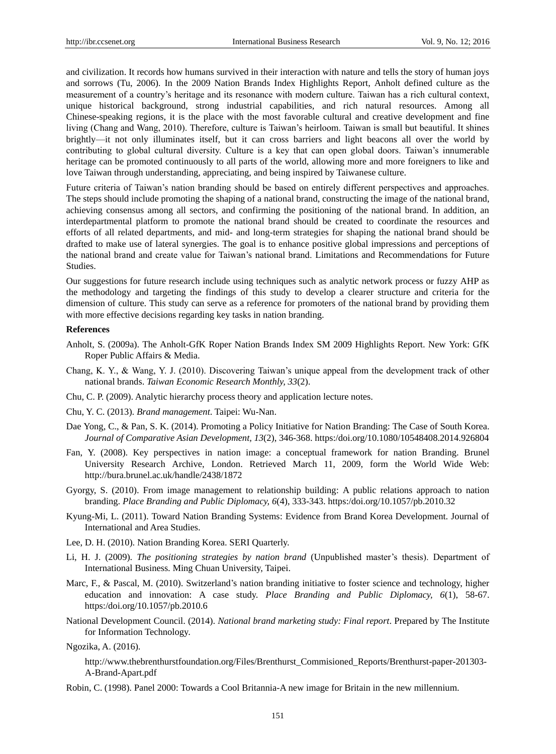and civilization. It records how humans survived in their interaction with nature and tells the story of human joys and sorrows (Tu, 2006). In the 2009 Nation Brands Index Highlights Report, Anholt defined culture as the measurement of a country's heritage and its resonance with modern culture. Taiwan has a rich cultural context, unique historical background, strong industrial capabilities, and rich natural resources. Among all Chinese-speaking regions, it is the place with the most favorable cultural and creative development and fine living (Chang and Wang, 2010). Therefore, culture is Taiwan's heirloom. Taiwan is small but beautiful. It shines brightly—it not only illuminates itself, but it can cross barriers and light beacons all over the world by contributing to global cultural diversity. Culture is a key that can open global doors. Taiwan's innumerable heritage can be promoted continuously to all parts of the world, allowing more and more foreigners to like and love Taiwan through understanding, appreciating, and being inspired by Taiwanese culture.

Future criteria of Taiwan's nation branding should be based on entirely different perspectives and approaches. The steps should include promoting the shaping of a national brand, constructing the image of the national brand, achieving consensus among all sectors, and confirming the positioning of the national brand. In addition, an interdepartmental platform to promote the national brand should be created to coordinate the resources and efforts of all related departments, and mid- and long-term strategies for shaping the national brand should be drafted to make use of lateral synergies. The goal is to enhance positive global impressions and perceptions of the national brand and create value for Taiwan's national brand. Limitations and Recommendations for Future Studies.

Our suggestions for future research include using techniques such as analytic network process or fuzzy AHP as the methodology and targeting the findings of this study to develop a clearer structure and criteria for the dimension of culture. This study can serve as a reference for promoters of the national brand by providing them with more effective decisions regarding key tasks in nation branding.

#### **References**

- Anholt, S. (2009a). The Anholt-GfK Roper Nation Brands Index SM 2009 Highlights Report. New York: GfK Roper Public Affairs & Media.
- Chang, K. Y., & Wang, Y. J. (2010). Discovering Taiwan's unique appeal from the development track of other national brands. *Taiwan Economic Research Monthly, 33*(2).
- Chu, C. P. (2009). Analytic hierarchy process theory and application lecture notes.
- Chu, Y. C. (2013). *Brand management*. Taipei: Wu-Nan.
- Dae Yong, C., & Pan, S. K. (2014). Promoting a Policy Initiative for Nation Branding: The Case of South Korea. *Journal of Comparative Asian Development, 13*(2), 346-368. [https:/doi.org/10.1080/10548408.2014.926804](https://doi.org/10.1080/10548408.2014.926804)
- Fan, Y. (2008). Key perspectives in nation image: a conceptual framework for nation Branding. Brunel University Research Archive, London. Retrieved March 11, 2009, form the World Wide Web: <http://bura.brunel.ac.uk/handle/2438/1872>
- Gyorgy, S. (2010). From image management to relationship building: A public relations approach to nation branding. *Place Branding and Public Diplomacy, 6*(4), 333-343. [https:/doi.org/10.1057/pb.2010.32](https://doi.org/10.1057/pb.2010.32)
- Kyung-Mi, L. (2011). Toward Nation Branding Systems: Evidence from Brand Korea Development. Journal of International and Area Studies.
- Lee, D. H. (2010). Nation Branding Korea. SERI Quarterly.
- Li, H. J. (2009). *The positioning strategies by nation brand* (Unpublished master's thesis). Department of International Business. Ming Chuan University, Taipei.
- Marc, F., & Pascal, M. (2010). Switzerland's nation branding initiative to foster science and technology, higher education and innovation: A case study. *Place Branding and Public Diplomacy, 6*(1), 58-67. [https:/doi.org/10.1057/pb.2010.6](https://doi.org/10.1057/pb.2010.6)
- National Development Council. (2014). *National brand marketing study: Final report*. Prepared by The Institute for Information Technology.

http://www.thebrenthurstfoundation.org/Files/Brenthurst\_Commisioned\_Reports/Brenthurst-paper-201303- A-Brand-Apart.pdf

Robin, C. (1998). Panel 2000: Towards a Cool Britannia-A new image for Britain in the new millennium.

Ngozika, A. (2016).